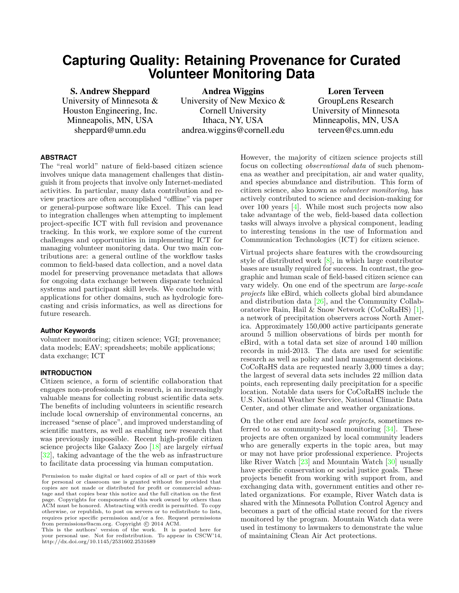# **Capturing Quality: Retaining Provenance for Curated Volunteer Monitoring Data**

S. Andrew Sheppard University of Minnesota & Houston Engineering, Inc. Minneapolis, MN, USA sheppard@umn.edu

Andrea Wiggins University of New Mexico & Cornell University Ithaca, NY, USA andrea.wiggins@cornell.edu

Loren Terveen GroupLens Research University of Minnesota Minneapolis, MN, USA terveen@cs.umn.edu

# **ABSTRACT**

The "real world" nature of field-based citizen science involves unique data management challenges that distinguish it from projects that involve only Internet-mediated activities. In particular, many data contribution and review practices are often accomplished "offline" via paper or general-purpose software like Excel. This can lead to integration challenges when attempting to implement project-specific ICT with full revision and provenance tracking. In this work, we explore some of the current challenges and opportunities in implementing ICT for managing volunteer monitoring data. Our two main contributions are: a general outline of the workflow tasks common to field-based data collection, and a novel data model for preserving provenance metadata that allows for ongoing data exchange between disparate technical systems and participant skill levels. We conclude with applications for other domains, such as hydrologic forecasting and crisis informatics, as well as directions for future research.

# **Author Keywords**

volunteer monitoring; citizen science; VGI; provenance; data models; EAV; spreadsheets; mobile applications; data exchange; ICT

#### **INTRODUCTION**

Citizen science, a form of scientific collaboration that engages non-professionals in research, is an increasingly valuable means for collecting robust scientific data sets. The benefits of including volunteers in scientific research include local ownership of environmental concerns, an increased "sense of place", and improved understanding of scientific matters, as well as enabling new research that was previously impossible. Recent high-profile citizen science projects like Galaxy Zoo [\[18\]](#page-11-0) are largely *virtual* [\[32\]](#page-11-1), taking advantage of the the web as infrastructure to facilitate data processing via human computation.

However, the majority of citizen science projects still focus on collecting *observational data* of such phenomena as weather and precipitation, air and water quality, and species abundance and distribution. This form of citizen science, also known as *volunteer monitoring*, has actively contributed to science and decision-making for over 100 years [\[4\]](#page-10-0). While most such projects now also take advantage of the web, field-based data collection tasks will always involve a physical component, leading to interesting tensions in the use of Information and Communication Technologies (ICT) for citizen science.

Virtual projects share features with the crowdsourcing style of distributed work [\[8\]](#page-10-1), in which large contributor bases are usually required for success. In contrast, the geographic and human scale of field-based citizen science can vary widely. On one end of the spectrum are *large-scale projects* like eBird, which collects global bird abundance and distribution data [\[26\]](#page-11-2), and the Community Collaboratorive Rain, Hail & Snow Network (CoCoRaHS) [\[1\]](#page-10-2), a network of precipitation observers across North America. Approximately 150,000 active participants generate around 5 million observations of birds per month for eBird, with a total data set size of around 140 million records in mid-2013. The data are used for scientific research as well as policy and land management decisions. CoCoRaHS data are requested nearly 3,000 times a day; the largest of several data sets includes 22 million data points, each representing daily precipitation for a specific location. Notable data users for CoCoRaHS include the U.S. National Weather Service, National Climatic Data Center, and other climate and weather organizations.

On the other end are *local scale projects*, sometimes referred to as community-based monitoring [\[34\]](#page-11-3). These projects are often organized by local community leaders who are generally experts in the topic area, but may or may not have prior professional experience. Projects like River Watch [\[23\]](#page-11-4) and Mountain Watch [\[30\]](#page-11-5) usually have specific conservation or social justice goals. These projects benefit from working with support from, and exchanging data with, government entities and other related organizations. For example, River Watch data is shared with the Minnesota Pollution Control Agency and becomes a part of the official state record for the rivers monitored by the program. Mountain Watch data were used in testimony to lawmakers to demonstrate the value of maintaining Clean Air Act protections.

Permission to make digital or hard copies of all or part of this work for personal or classroom use is granted without fee provided that copies are not made or distributed for profit or commercial advantage and that copies bear this notice and the full citation on the first page. Copyrights for components of this work owned by others than ACM must be honored. Abstracting with credit is permitted. To copy otherwise, or republish, to post on servers or to redistribute to lists, requires prior specific permission and/or a fee. Request permissions from permissions@acm.org. Copyright © 2014 ACM.

This is the authors' version of the work. It is posted here for your personal use. Not for redistribution. To appear in CSCW'14, http://dx.doi.org/10.1145/2531602.2531689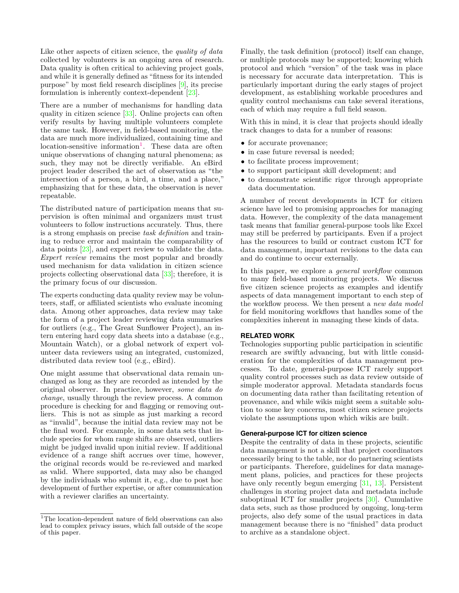Like other aspects of citizen science, the *quality of data* collected by volunteers is an ongoing area of research. Data quality is often critical to achieving project goals, and while it is generally defined as "fitness for its intended purpose" by most field research disciplines [\[9\]](#page-10-3), its precise formulation is inherently context-dependent [\[23\]](#page-11-4).

There are a number of mechanisms for handling data quality in citizen science [\[33\]](#page-11-6). Online projects can often verify results by having multiple volunteers complete the same task. However, in field-based monitoring, the data are much more individualized, containing time and  $location$ -sensitive information<sup>[1](#page-1-0)</sup>. These data are often unique observations of changing natural phenomena; as such, they may not be directly verifiable. An eBird project leader described the act of observation as "the intersection of a person, a bird, a time, and a place," emphasizing that for these data, the observation is never repeatable.

The distributed nature of participation means that supervision is often minimal and organizers must trust volunteers to follow instructions accurately. Thus, there is a strong emphasis on precise *task definition* and training to reduce error and maintain the comparability of data points [\[23\]](#page-11-4), and expert review to validate the data. *Expert review* remains the most popular and broadly used mechanism for data validation in citizen science projects collecting observational data [\[33\]](#page-11-6); therefore, it is the primary focus of our discussion.

The experts conducting data quality review may be volunteers, staff, or affiliated scientists who evaluate incoming data. Among other approaches, data review may take the form of a project leader reviewing data summaries for outliers (e.g., The Great Sunflower Project), an intern entering hard copy data sheets into a database (e.g., Mountain Watch), or a global network of expert volunteer data reviewers using an integrated, customized, distributed data review tool (e.g., eBird).

One might assume that observational data remain unchanged as long as they are recorded as intended by the original observer. In practice, however, *some data do change*, usually through the review process. A common procedure is checking for and flagging or removing outliers. This is not as simple as just marking a record as "invalid", because the initial data review may not be the final word. For example, in some data sets that include species for whom range shifts are observed, outliers might be judged invalid upon initial review. If additional evidence of a range shift accrues over time, however, the original records would be re-reviewed and marked as valid. Where supported, data may also be changed by the individuals who submit it, e.g., due to post hoc development of further expertise, or after communication with a reviewer clarifies an uncertainty.

Finally, the task definition (protocol) itself can change, or multiple protocols may be supported; knowing which protocol and which "version" of the task was in place is necessary for accurate data interpretation. This is particularly important during the early stages of project development, as establishing workable procedures and quality control mechanisms can take several iterations, each of which may require a full field season.

With this in mind, it is clear that projects should ideally track changes to data for a number of reasons:

- for accurate provenance;
- in case future reversal is needed;
- to facilitate process improvement;
- to support participant skill development; and
- to demonstrate scientific rigor through appropriate data documentation.

A number of recent developments in ICT for citizen science have led to promising approaches for managing data. However, the complexity of the data management task means that familiar general-purpose tools like Excel may still be preferred by participants. Even if a project has the resources to build or contract custom ICT for data management, important revisions to the data can and do continue to occur externally.

In this paper, we explore a *general workflow* common to many field-based monitoring projects. We discuss five citizen science projects as examples and identify aspects of data management important to each step of the workflow process. We then present a *new data model* for field monitoring workflows that handles some of the complexities inherent in managing these kinds of data.

# **RELATED WORK**

Technologies supporting public participation in scientific research are swiftly advancing, but with little consideration for the complexities of data management processes. To date, general-purpose ICT rarely support quality control processes such as data review outside of simple moderator approval. Metadata standards focus on documenting data rather than facilitating retention of provenance, and while wikis might seem a suitable solution to some key concerns, most citizen science projects violate the assumptions upon which wikis are built.

# **General-purpose ICT for citizen science**

Despite the centrality of data in these projects, scientific data management is not a skill that project coordinators necessarily bring to the table, nor do partnering scientists or participants. Therefore, guidelines for data management plans, policies, and practices for these projects have only recently begun emerging [\[31,](#page-11-7) [13\]](#page-11-8). Persistent challenges in storing project data and metadata include suboptimal ICT for smaller projects [\[30\]](#page-11-5). Cumulative data sets, such as those produced by ongoing, long-term projects, also defy some of the usual practices in data management because there is no "finished" data product to archive as a standalone object.

<span id="page-1-0"></span> $^{\rm 1}{\rm The}$  location-dependent nature of field observations can also lead to complex privacy issues, which fall outside of the scope of this paper.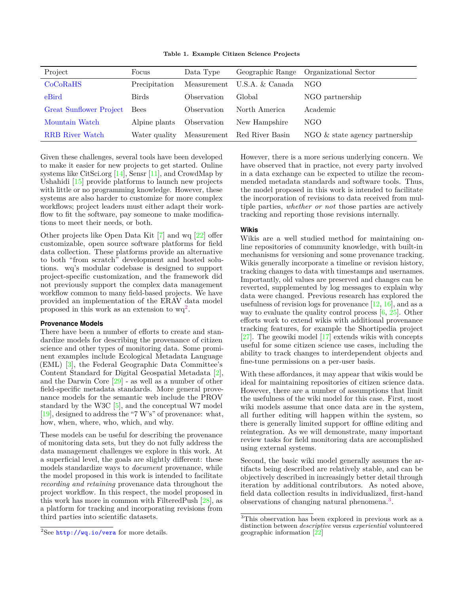**Table 1. Example Citizen Science Projects**

| Project                 | Focus         | Data Type   | Geographic Range            | Organizational Sector             |
|-------------------------|---------------|-------------|-----------------------------|-----------------------------------|
| CoCoRaHS                | Precipitation |             | Measurement U.S.A. & Canada | NGO.                              |
| eBird                   | <b>Birds</b>  | Observation | Global                      | NGO partnership                   |
| Great Sunflower Project | <b>Bees</b>   | Observation | North America               | Academic                          |
| Mountain Watch          | Alpine plants | Observation | New Hampshire               | NGO.                              |
| <b>RRB</b> River Watch  | Water quality |             | Measurement Red River Basin | $NGO \&$ state agency partnership |

Given these challenges, several tools have been developed to make it easier for new projects to get started. Online systems like CitSci.org [\[14\]](#page-11-9), Sensr [\[11\]](#page-11-10), and CrowdMap by Ushahidi [\[15\]](#page-11-11) provide platforms to launch new projects with little or no programming knowledge. However, these systems are also harder to customize for more complex workflows; project leaders must either adapt their workflow to fit the software, pay someone to make modifications to meet their needs, or both.

Other projects like Open Data Kit [\[7\]](#page-10-4) and wq [\[22\]](#page-11-12) offer customizable, open source software platforms for field data collection. These platforms provide an alternative to both "from scratch" development and hosted solutions. wq's modular codebase is designed to support project-specific customization, and the framework did not previously support the complex data management workflow common to many field-based projects. We have provided an implementation of the ERAV data model proposed in this work as an extension to  $wq^2$  $wq^2$ .

#### **Provenance Models**

There have been a number of efforts to create and standardize models for describing the provenance of citizen science and other types of monitoring data. Some prominent examples include Ecological Metadata Language (EML) [\[3\]](#page-10-5), the Federal Geographic Data Committee's Content Standard for Digital Geospatial Metadata [\[2\]](#page-10-6), and the Darwin Core [\[29\]](#page-11-13) - as well as a number of other field-specific metadata standards. More general provenance models for the semantic web include the PROV standard by the W3C [\[5\]](#page-10-7), and the conceptual W7 model [\[19\]](#page-11-14), designed to address the "7 W's" of provenance: what, how, when, where, who, which, and why.

These models can be useful for describing the provenance of monitoring data sets, but they do not fully address the data management challenges we explore in this work. At a superficial level, the goals are slightly different: these models standardize ways to *document* provenance, while the model proposed in this work is intended to facilitate *recording and retaining* provenance data throughout the project workflow. In this respect, the model proposed in this work has more in common with FilteredPush [\[28\]](#page-11-15), as a platform for tracking and incorporating revisions from third parties into scientific datasets.

However, there is a more serious underlying concern. We have observed that in practice, not every party involved in a data exchange can be expected to utilize the recommended metadata standards and software tools. Thus, the model proposed in this work is intended to facilitate the incorporation of revisions to data received from multiple parties, *whether or not* those parties are actively tracking and reporting those revisions internally.

#### **Wikis**

Wikis are a well studied method for maintaining online repositories of community knowledge, with built-in mechanisms for versioning and some provenance tracking. Wikis generally incorporate a timeline or revision history, tracking changes to data with timestamps and usernames. Importantly, old values are preserved and changes can be reverted, supplemented by log messages to explain why data were changed. Previous research has explored the usefulness of revision logs for provenance  $[12, 16]$  $[12, 16]$  $[12, 16]$ , and as a way to evaluate the quality control process [\[6,](#page-10-8) [25\]](#page-11-18). Other efforts work to extend wikis with additional provenance tracking features, for example the Shortipedia project [\[27\]](#page-11-19). The geowiki model [\[17\]](#page-11-20) extends wikis with concepts useful for some citizen science use cases, including the ability to track changes to interdependent objects and fine-tune permissions on a per-user basis.

With these affordances, it may appear that wikis would be ideal for maintaining repositories of citizen science data. However, there are a number of assumptions that limit the usefulness of the wiki model for this case. First, most wiki models assume that once data are in the system, all further editing will happen within the system, so there is generally limited support for offline editing and reintegration. As we will demonstrate, many important review tasks for field monitoring data are accomplished using external systems.

Second, the basic wiki model generally assumes the artifacts being described are relatively stable, and can be objectively described in increasingly better detail through iteration by additional contributors. As noted above, field data collection results in individualized, first-hand observations of changing natural phenomena.<sup>[3](#page-2-1)</sup>.

<span id="page-2-0"></span><sup>2</sup>See <http://wq.io/vera> for more details.

<span id="page-2-1"></span><sup>3</sup>This observation has been explored in previous work as a distinction between *descriptive* versus *experiential* volunteered geographic information  $\left|22\right|$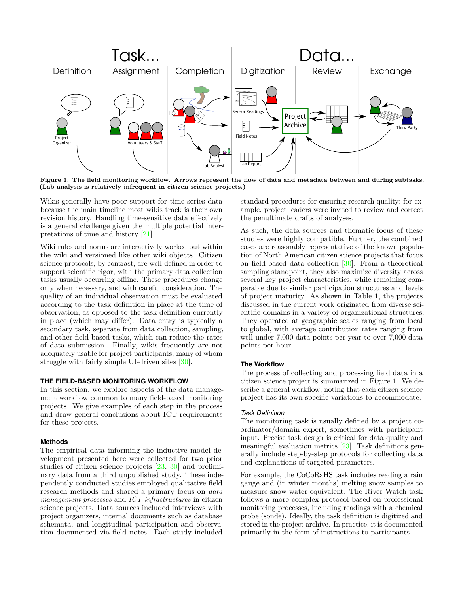

**Figure 1. The field monitoring workflow. Arrows represent the flow of data and metadata between and during subtasks. (Lab analysis is relatively infrequent in citizen science projects.)**

Wikis generally have poor support for time series data because the main timeline most wikis track is their own revision history. Handling time-sensitive data effectively is a general challenge given the multiple potential interpretations of time and history [\[21\]](#page-11-21).

Wiki rules and norms are interactively worked out within the wiki and versioned like other wiki objects. Citizen science protocols, by contrast, are well-defined in order to support scientific rigor, with the primary data collection tasks usually occurring offline. These procedures change only when necessary, and with careful consideration. The quality of an individual observation must be evaluated according to the task definition in place at the time of observation, as opposed to the task definition currently in place (which may differ). Data entry is typically a secondary task, separate from data collection, sampling, and other field-based tasks, which can reduce the rates of data submission. Finally, wikis frequently are not adequately usable for project participants, many of whom struggle with fairly simple UI-driven sites [\[30\]](#page-11-5).

#### **THE FIELD-BASED MONITORING WORKFLOW**

In this section, we explore aspects of the data management workflow common to many field-based monitoring projects. We give examples of each step in the process and draw general conclusions about ICT requirements for these projects.

#### **Methods**

The empirical data informing the inductive model development presented here were collected for two prior studies of citizen science projects [\[23,](#page-11-4) [30\]](#page-11-5) and preliminary data from a third unpublished study. These independently conducted studies employed qualitative field research methods and shared a primary focus on *data management processes* and *ICT infrastructures* in citizen science projects. Data sources included interviews with project organizers, internal documents such as database schemata, and longitudinal participation and observation documented via field notes. Each study included

standard procedures for ensuring research quality; for example, project leaders were invited to review and correct the penultimate drafts of analyses.

As such, the data sources and thematic focus of these studies were highly compatible. Further, the combined cases are reasonably representative of the known population of North American citizen science projects that focus on field-based data collection [\[30\]](#page-11-5). From a theoretical sampling standpoint, they also maximize diversity across several key project characteristics, while remaining comparable due to similar participation structures and levels of project maturity. As shown in Table 1, the projects discussed in the current work originated from diverse scientific domains in a variety of organizational structures. They operated at geographic scales ranging from local to global, with average contribution rates ranging from well under 7,000 data points per year to over 7,000 data points per hour.

#### **The Workflow**

The process of collecting and processing field data in a citizen science project is summarized in Figure 1. We describe a general workflow, noting that each citizen science project has its own specific variations to accommodate.

#### *Task Definition*

The monitoring task is usually defined by a project coordinator/domain expert, sometimes with participant input. Precise task design is critical for data quality and meaningful evaluation metrics [\[23\]](#page-11-4). Task definitions generally include step-by-step protocols for collecting data and explanations of targeted parameters.

For example, the CoCoRaHS task includes reading a rain gauge and (in winter months) melting snow samples to measure snow water equivalent. The River Watch task follows a more complex protocol based on professional monitoring processes, including readings with a chemical probe (sonde). Ideally, the task definition is digitized and stored in the project archive. In practice, it is documented primarily in the form of instructions to participants.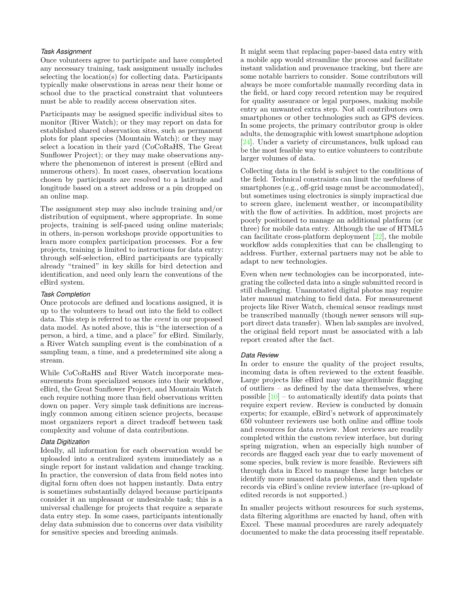# *Task Assignment*

Once volunteers agree to participate and have completed any necessary training, task assignment usually includes selecting the location(s) for collecting data. Participants typically make observations in areas near their home or school due to the practical constraint that volunteers must be able to readily access observation sites.

Participants may be assigned specific individual sites to monitor (River Watch); or they may report on data for established shared observation sites, such as permanent plots for plant species (Mountain Watch); or they may select a location in their yard (CoCoRaHS, The Great Sunflower Project); or they may make observations anywhere the phenomenon of interest is present (eBird and numerous others). In most cases, observation locations chosen by participants are resolved to a latitude and longitude based on a street address or a pin dropped on an online map.

The assignment step may also include training and/or distribution of equipment, where appropriate. In some projects, training is self-paced using online materials; in others, in-person workshops provide opportunities to learn more complex participation processes. For a few projects, training is limited to instructions for data entry: through self-selection, eBird participants are typically already "trained" in key skills for bird detection and identification, and need only learn the conventions of the eBird system.

#### *Task Completion*

Once protocols are defined and locations assigned, it is up to the volunteers to head out into the field to collect data. This step is referred to as the *event* in our proposed data model. As noted above, this is "the intersection of a person, a bird, a time, and a place" for eBird. Similarly, a River Watch sampling event is the combination of a sampling team, a time, and a predetermined site along a stream.

While CoCoRaHS and River Watch incorporate measurements from specialized sensors into their workflow, eBird, the Great Sunflower Project, and Mountain Watch each require nothing more than field observations written down on paper. Very simple task definitions are increasingly common among citizen science projects, because most organizers report a direct tradeoff between task complexity and volume of data contributions.

#### *Data Digitization*

Ideally, all information for each observation would be uploaded into a centralized system immediately as a single report for instant validation and change tracking. In practice, the conversion of data from field notes into digital form often does not happen instantly. Data entry is sometimes substantially delayed because participants consider it an unpleasant or undesirable task; this is a universal challenge for projects that require a separate data entry step. In some cases, participants intentionally delay data submission due to concerns over data visibility for sensitive species and breeding animals.

It might seem that replacing paper-based data entry with a mobile app would streamline the process and facilitate instant validation and provenance tracking, but there are some notable barriers to consider. Some contributors will always be more comfortable manually recording data in the field, or hard copy record retention may be required for quality assurance or legal purposes, making mobile entry an unwanted extra step. Not all contributors own smartphones or other technologies such as GPS devices. In some projects, the primary contributor group is older adults, the demographic with lowest smartphone adoption [\[24\]](#page-11-22). Under a variety of circumstances, bulk upload can be the most feasible way to entice volunteers to contribute larger volumes of data.

Collecting data in the field is subject to the conditions of the field. Technical constraints can limit the usefulness of smartphones (e.g., off-grid usage must be accommodated), but sometimes using electronics is simply impractical due to screen glare, inclement weather, or incompatibility with the flow of activities. In addition, most projects are poorly positioned to manage an additional platform (or three) for mobile data entry. Although the use of HTML5 can facilitate cross-platform deployment [\[22\]](#page-11-12), the mobile workflow adds complexities that can be challenging to address. Further, external partners may not be able to adapt to new technologies.

Even when new technologies can be incorporated, integrating the collected data into a single submitted record is still challenging. Unannotated digital photos may require later manual matching to field data. For measurement projects like River Watch, chemical sensor readings must be transcribed manually (though newer sensors will support direct data transfer). When lab samples are involved, the original field report must be associated with a lab report created after the fact.

#### *Data Review*

In order to ensure the quality of the project results, incoming data is often reviewed to the extent feasible. Large projects like eBird may use algorithmic flagging of outliers – as defined by the data themselves, where possible  $[10]$  – to automatically identify data points that require expert review. Review is conducted by domain experts; for example, eBird's network of approximately 650 volunteer reviewers use both online and offline tools and resources for data review. Most reviews are readily completed within the custom review interface, but during spring migration, when an especially high number of records are flagged each year due to early movement of some species, bulk review is more feasible. Reviewers sift through data in Excel to manage these large batches or identify more nuanced data problems, and then update records via eBird's online review interface (re-upload of edited records is not supported.)

In smaller projects without resources for such systems, data filtering algorithms are enacted by hand, often with Excel. These manual procedures are rarely adequately documented to make the data processing itself repeatable.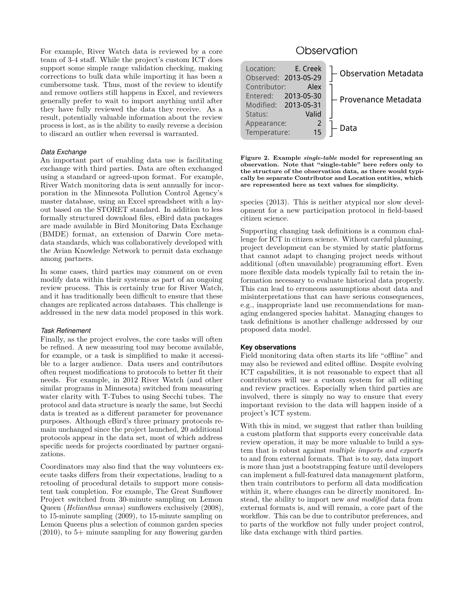For example, River Watch data is reviewed by a core team of 3-4 staff. While the project's custom ICT does support some simple range validation checking, making corrections to bulk data while importing it has been a cumbersome task. Thus, most of the review to identify and remove outliers still happens in Excel, and reviewers generally prefer to wait to import anything until after they have fully reviewed the data they receive. As a result, potentially valuable information about the review process is lost, as is the ability to easily reverse a decision to discard an outlier when reversal is warranted.

#### *Data Exchange*

An important part of enabling data use is facilitating exchange with third parties. Data are often exchanged using a standard or agreed-upon format. For example, River Watch monitoring data is sent annually for incorporation in the Minnesota Pollution Control Agency's master database, using an Excel spreadsheet with a layout based on the STORET standard. In addition to less formally structured download files, eBird data packages are made available in Bird Monitoring Data Exchange (BMDE) format, an extension of Darwin Core metadata standards, which was collaboratively developed with the Avian Knowledge Network to permit data exchange among partners.

In some cases, third parties may comment on or even modify data within their systems as part of an ongoing review process. This is certainly true for River Watch, and it has traditionally been difficult to ensure that these changes are replicated across databases. This challenge is addressed in the new data model proposed in this work.

#### *Task Refinement*

Finally, as the project evolves, the core tasks will often be refined. A new measuring tool may become available, for example, or a task is simplified to make it accessible to a larger audience. Data users and contributors often request modifications to protocols to better fit their needs. For example, in 2012 River Watch (and other similar programs in Minnesota) switched from measuring water clarity with T-Tubes to using Secchi tubes. The protocol and data structure is nearly the same, but Secchi data is treated as a different parameter for provenance purposes. Although eBird's three primary protocols remain unchanged since the project launched, 20 additional protocols appear in the data set, most of which address specific needs for projects coordinated by partner organizations.

Coordinators may also find that the way volunteers execute tasks differs from their expectations, leading to a retooling of procedural details to support more consistent task completion. For example, The Great Sunflower Project switched from 30-minute sampling on Lemon Queen (*Helianthus annus*) sunflowers exclusively (2008), to 15-minute sampling (2009), to 15-minute sampling on Lemon Queens plus a selection of common garden species  $(2010)$ , to 5+ minute sampling for any flowering garden

# **Observation**

| Location:    | E. Creek             | <b>Observation Metadata</b> |
|--------------|----------------------|-----------------------------|
|              | Observed: 2013-05-29 |                             |
| Contributor: | Alex                 |                             |
|              | Entered: 2013-05-30  | - Provenance Metadata       |
|              | Modified: 2013-05-31 |                             |
| Status:      | Valid                |                             |
| Appearance:  |                      |                             |
| Temperature: | 15                   | Data                        |

**Figure 2. Example** *single-table* **model for representing an observation. Note that "single-table" here refers only to the structure of the observation data, as there would typically be separate Contributor and Location entities, which are represented here as text values for simplicity.**

species  $(2013)$ . This is neither atypical nor slow development for a new participation protocol in field-based citizen science.

Supporting changing task definitions is a common challenge for ICT in citizen science. Without careful planning, project development can be stymied by static platforms that cannot adapt to changing project needs without additional (often unavailable) programming effort. Even more flexible data models typically fail to retain the information necessary to evaluate historical data properly. This can lead to erroneous assumptions about data and misinterpretations that can have serious consequences, e.g., inappropriate land use recommendations for managing endangered species habitat. Managing changes to task definitions is another challenge addressed by our proposed data model.

# **Key observations**

Field monitoring data often starts its life "offline" and may also be reviewed and edited offline. Despite evolving ICT capabilities, it is not reasonable to expect that all contributors will use a custom system for all editing and review practices. Especially when third parties are involved, there is simply no way to ensure that every important revision to the data will happen inside of a project's ICT system.

With this in mind, we suggest that rather than building a custom platform that supports every conceivable data review operation, it may be more valuable to build a system that is robust against *multiple imports and exports* to and from external formats. That is to say, data import is more than just a bootstrapping feature until developers can implement a full-featured data management platform, then train contributors to perform all data modification within it, where changes can be directly monitored. Instead, the ability to import new *and modified* data from external formats is, and will remain, a core part of the workflow. This can be due to contributor preferences, and to parts of the workflow not fully under project control, like data exchange with third parties.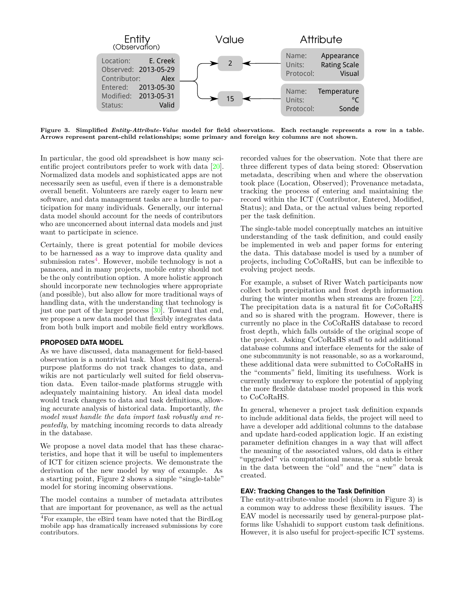

**Figure 3. Simplified** *Entity-Attribute-Value* **model for field observations. Each rectangle represents a row in a table. Arrows represent parent-child relationships; some primary and foreign key columns are not shown.**

In particular, the good old spreadsheet is how many scientific project contributors prefer to work with data [\[20\]](#page-11-23). Normalized data models and sophisticated apps are not necessarily seen as useful, even if there is a demonstrable overall benefit. Volunteers are rarely eager to learn new software, and data management tasks are a hurdle to participation for many individuals. Generally, our internal data model should account for the needs of contributors who are unconcerned about internal data models and just want to participate in science.

Certainly, there is great potential for mobile devices to be harnessed as a way to improve data quality and submission rates<sup>[4](#page-6-0)</sup>. However, mobile technology is not a panacea, and in many projects, mobile entry should not be the only contribution option. A more holistic approach should incorporate new technologies where appropriate (and possible), but also allow for more traditional ways of handling data, with the understanding that technology is just one part of the larger process [\[30\]](#page-11-5). Toward that end, we propose a new data model that flexibly integrates data from both bulk import and mobile field entry workflows.

# **PROPOSED DATA MODEL**

As we have discussed, data management for field-based observation is a nontrivial task. Most existing generalpurpose platforms do not track changes to data, and wikis are not particularly well suited for field observation data. Even tailor-made platforms struggle with adequately maintaining history. An ideal data model would track changes to data and task definitions, allowing accurate analysis of historical data. Importantly, *the model must handle the data import task robustly and repeatedly*, by matching incoming records to data already in the database.

We propose a novel data model that has these characteristics, and hope that it will be useful to implementers of ICT for citizen science projects. We demonstrate the derivation of the new model by way of example. As a starting point, Figure 2 shows a simple "single-table" model for storing incoming observations.

The model contains a number of metadata attributes that are important for provenance, as well as the actual recorded values for the observation. Note that there are three different types of data being stored: Observation metadata, describing when and where the observation took place (Location, Observed); Provenance metadata, tracking the process of entering and maintaining the record within the ICT (Contributor, Entered, Modified, Status); and Data, or the actual values being reported per the task definition.

The single-table model conceptually matches an intuitive understanding of the task definition, and could easily be implemented in web and paper forms for entering the data. This database model is used by a number of projects, including CoCoRaHS, but can be inflexible to evolving project needs.

For example, a subset of River Watch participants now collect both precipitation and frost depth information during the winter months when streams are frozen [\[22\]](#page-11-12). The precipitation data is a natural fit for CoCoRaHS and so is shared with the program. However, there is currently no place in the CoCoRaHS database to record frost depth, which falls outside of the original scope of the project. Asking CoCoRaHS staff to add additional database columns and interface elements for the sake of one subcommunity is not reasonable, so as a workaround, these additional data were submitted to CoCoRaHS in the "comments" field, limiting its usefulness. Work is currently underway to explore the potential of applying the more flexible database model proposed in this work to CoCoRaHS.

In general, whenever a project task definition expands to include additional data fields, the project will need to have a developer add additional columns to the database and update hard-coded application logic. If an existing parameter definition changes in a way that will affect the meaning of the associated values, old data is either "upgraded" via computational means, or a subtle break in the data between the "old" and the "new" data is created.

#### **EAV: Tracking Changes to the Task Definition**

The entity-attribute-value model (shown in Figure 3) is a common way to address these flexibility issues. The EAV model is necessarily used by general-purpose platforms like Ushahidi to support custom task definitions. However, it is also useful for project-specific ICT systems.

<span id="page-6-0"></span><sup>4</sup>For example, the eBird team have noted that the BirdLog mobile app has dramatically increased submissions by core contributors.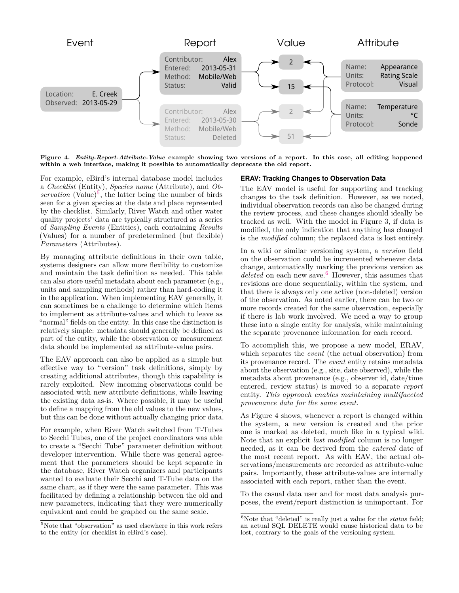

**Figure 4.** *Entity-Report-Attribute-Value* **example showing two versions of a report. In this case, all editing happened within a web interface, making it possible to automatically deprecate the old report.**

For example, eBird's internal database model includes a *Checklist* (Entity), *Species name* (Attribute), and *Ob-*servation (Value)<sup>[5](#page-7-0)</sup>, the latter being the number of birds seen for a given species at the date and place represented by the checklist. Similarly, River Watch and other water quality projects' data are typically structured as a series of *Sampling Events* (Entities), each containing *Results* (Values) for a number of predetermined (but flexible) *Parameters* (Attributes).

By managing attribute definitions in their own table, systems designers can allow more flexibility to customize and maintain the task definition as needed. This table can also store useful metadata about each parameter (e.g., units and sampling methods) rather than hard-coding it in the application. When implementing EAV generally, it can sometimes be a challenge to determine which items to implement as attribute-values and which to leave as "normal" fields on the entity. In this case the distinction is relatively simple: metadata should generally be defined as part of the entity, while the observation or measurement data should be implemented as attribute-value pairs.

The EAV approach can also be applied as a simple but effective way to "version" task definitions, simply by creating additional attributes, though this capability is rarely exploited. New incoming observations could be associated with new attribute definitions, while leaving the existing data as-is. Where possible, it may be useful to define a mapping from the old values to the new values, but this can be done without actually changing prior data.

For example, when River Watch switched from T-Tubes to Secchi Tubes, one of the project coordinators was able to create a "Secchi Tube" parameter definition without developer intervention. While there was general agreement that the parameters should be kept separate in the database, River Watch organizers and participants wanted to evaluate their Secchi and T-Tube data on the same chart, as if they were the same parameter. This was facilitated by defining a relationship between the old and new parameters, indicating that they were numerically equivalent and could be graphed on the same scale.

#### **ERAV: Tracking Changes to Observation Data**

The EAV model is useful for supporting and tracking changes to the task definition. However, as we noted, individual observation records can also be changed during the review process, and these changes should ideally be tracked as well. With the model in Figure 3, if data is modified, the only indication that anything has changed is the *modified* column; the replaced data is lost entirely.

In a wiki or similar versioning system, a *version* field on the observation could be incremented whenever data change, automatically marking the previous version as *deleted* on each new save.[6](#page-7-1) However, this assumes that revisions are done sequentially, within the system, and that there is always only one active (non-deleted) version of the observation. As noted earlier, there can be two or more records created for the same observation, especially if there is lab work involved. We need a way to group these into a single entity for analysis, while maintaining the separate provenance information for each record.

To accomplish this, we propose a new model, ERAV, which separates the *event* (the actual observation) from its provenance record. The *event* entity retains metadata about the observation (e.g., site, date observed), while the metadata about provenance (e.g., observer id, date/time entered, review status) is moved to a separate *report* entity. *This approach enables maintaining multifaceted provenance data for the same event.*

As Figure 4 shows, whenever a report is changed within the system, a new version is created and the prior one is marked as deleted, much like in a typical wiki. Note that an explicit *last modified* column is no longer needed, as it can be derived from the *entered* date of the most recent report. As with EAV, the actual observations/measurements are recorded as attribute-value pairs. Importantly, these attribute-values are internally associated with each report, rather than the event.

To the casual data user and for most data analysis purposes, the event/report distinction is unimportant. For

<span id="page-7-0"></span> $5$  Note that "observation" as used elsewhere in this work refers to the entity (or checklist in eBird's case).

<span id="page-7-1"></span> ${}^6\mathrm{Note}$  that "deleted" is really just a value for the  $status$  field; an actual SQL DELETE would cause historical data to be lost, contrary to the goals of the versioning system.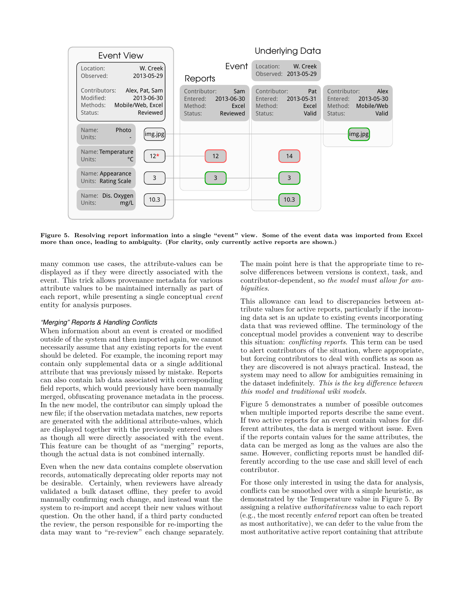

**Figure 5. Resolving report information into a single "event" view. Some of the event data was imported from Excel more than once, leading to ambiguity. (For clarity, only currently active reports are shown.)**

many common use cases, the attribute-values can be displayed as if they were directly associated with the event. This trick allows provenance metadata for various attribute values to be maintained internally as part of each report, while presenting a single conceptual *event* entity for analysis purposes.

# *"Merging" Reports & Handling Conflicts*

When information about an event is created or modified outside of the system and then imported again, we cannot necessarily assume that any existing reports for the event should be deleted. For example, the incoming report may contain only supplemental data or a single additional attribute that was previously missed by mistake. Reports can also contain lab data associated with corresponding field reports, which would previously have been manually merged, obfuscating provenance metadata in the process. In the new model, the contributor can simply upload the new file; if the observation metadata matches, new reports are generated with the additional attribute-values, which are displayed together with the previously entered values as though all were directly associated with the event. This feature can be thought of as "merging" reports, though the actual data is not combined internally.

Even when the new data contains complete observation records, automatically deprecating older reports may not be desirable. Certainly, when reviewers have already validated a bulk dataset offline, they prefer to avoid manually confirming each change, and instead want the system to re-import and accept their new values without question. On the other hand, if a third party conducted the review, the person responsible for re-importing the data may want to "re-review" each change separately.

The main point here is that the appropriate time to resolve differences between versions is context, task, and contributor-dependent, so *the model must allow for ambiguities*.

This allowance can lead to discrepancies between attribute values for active reports, particularly if the incoming data set is an update to existing events incorporating data that was reviewed offline. The terminology of the conceptual model provides a convenient way to describe this situation: *conflicting reports*. This term can be used to alert contributors of the situation, where appropriate, but forcing contributors to deal with conflicts as soon as they are discovered is not always practical. Instead, the system may need to allow for ambiguities remaining in the dataset indefinitely. *This is the key difference between this model and traditional wiki models.*

Figure 5 demonstrates a number of possible outcomes when multiple imported reports describe the same event. If two active reports for an event contain values for different attributes, the data is merged without issue. Even if the reports contain values for the same attributes, the data can be merged as long as the values are also the same. However, conflicting reports must be handled differently according to the use case and skill level of each contributor.

For those only interested in using the data for analysis, conflicts can be smoothed over with a simple heuristic, as demonstrated by the Temperature value in Figure 5. By assigning a relative *authoritativeness* value to each report (e.g., the most recently *entered* report can often be treated as most authoritative), we can defer to the value from the most authoritative active report containing that attribute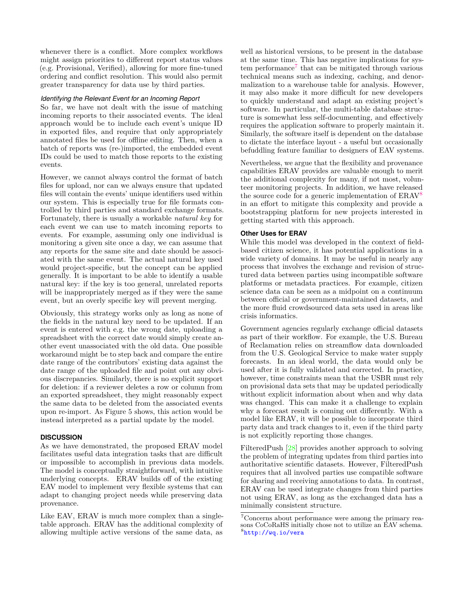whenever there is a conflict. More complex workflows might assign priorities to different report status values (e.g. Provisional, Verified), allowing for more fine-tuned ordering and conflict resolution. This would also permit greater transparency for data use by third parties.

# *Identifying the Relevant Event for an Incoming Report*

So far, we have not dealt with the issue of matching incoming reports to their associated events. The ideal approach would be to include each event's unique ID in exported files, and require that only appropriately annotated files be used for offline editing. Then, when a batch of reports was (re-)imported, the embedded event IDs could be used to match those reports to the existing events.

However, we cannot always control the format of batch files for upload, nor can we always ensure that updated files will contain the events' unique identifiers used within our system. This is especially true for file formats controlled by third parties and standard exchange formats. Fortunately, there is usually a workable *natural key* for each event we can use to match incoming reports to events. For example, assuming only one individual is monitoring a given site once a day, we can assume that any reports for the same site and date should be associated with the same event. The actual natural key used would project-specific, but the concept can be applied generally. It is important to be able to identify a usable natural key: if the key is too general, unrelated reports will be inappropriately merged as if they were the same event, but an overly specific key will prevent merging.

Obviously, this strategy works only as long as none of the fields in the natural key need to be updated. If an event is entered with e.g. the wrong date, uploading a spreadsheet with the correct date would simply create another event unassociated with the old data. One possible workaround might be to step back and compare the entire date range of the contributors' existing data against the date range of the uploaded file and point out any obvious discrepancies. Similarly, there is no explicit support for deletion: if a reviewer deletes a row or column from an exported spreadsheet, they might reasonably expect the same data to be deleted from the associated events upon re-import. As Figure 5 shows, this action would be instead interpreted as a partial update by the model.

#### **DISCUSSION**

As we have demonstrated, the proposed ERAV model facilitates useful data integration tasks that are difficult or impossible to accomplish in previous data models. The model is conceptually straightforward, with intuitive underlying concepts. ERAV builds off of the existing EAV model to implement very flexible systems that can adapt to changing project needs while preserving data provenance.

Like EAV, ERAV is much more complex than a singletable approach. ERAV has the additional complexity of allowing multiple active versions of the same data, as

well as historical versions, to be present in the database at the same time. This has negative implications for system performance[7](#page-9-0) that can be mitigated through various technical means such as indexing, caching, and denormalization to a warehouse table for analysis. However, it may also make it more difficult for new developers to quickly understand and adapt an existing project's software. In particular, the multi-table database structure is somewhat less self-documenting, and effectively requires the application software to properly maintain it. Similarly, the software itself is dependent on the database to dictate the interface layout - a useful but occasionally befuddling feature familiar to designers of EAV systems.

Nevertheless, we argue that the flexibility and provenance capabilities ERAV provides are valuable enough to merit the additional complexity for many, if not most, volunteer monitoring projects. In addition, we have released the source code for a generic implementation of  $ERAV^8$  $ERAV^8$ in an effort to mitigate this complexity and provide a bootstrapping platform for new projects interested in getting started with this approach.

# **Other Uses for ERAV**

While this model was developed in the context of fieldbased citizen science, it has potential applications in a wide variety of domains. It may be useful in nearly any process that involves the exchange and revision of structured data between parties using incompatible software platforms or metadata practices. For example, citizen science data can be seen as a midpoint on a continuum between official or government-maintained datasets, and the more fluid crowdsourced data sets used in areas like crisis informatics.

Government agencies regularly exchange official datasets as part of their workflow. For example, the U.S. Bureau of Reclamation relies on streamflow data downloaded from the U.S. Geological Service to make water supply forecasts. In an ideal world, the data would only be used after it is fully validated and corrected. In practice, however, time constraints mean that the USBR must rely on provisional data sets that may be updated periodically without explicit information about when and why data was changed. This can make it a challenge to explain why a forecast result is coming out differently. With a model like ERAV, it will be possible to incorporate third party data and track changes to it, even if the third party is not explicitly reporting those changes.

FilteredPush [\[28\]](#page-11-15) provides another approach to solving the problem of integrating updates from third parties into authoritative scientific datasets. However, FilteredPush requires that all involved parties use compatible software for sharing and receiving annotations to data. In contrast, ERAV can be used integrate changes from third parties not using ERAV, as long as the exchanged data has a minimally consistent structure.

<span id="page-9-1"></span><span id="page-9-0"></span> $\mathrm{^{7}C}$  oncerns about performance were among the primary reasons CoCoRaHS initially chose not to utilize an EAV schema.  ${}^{8}$ <http://wq.io/vera>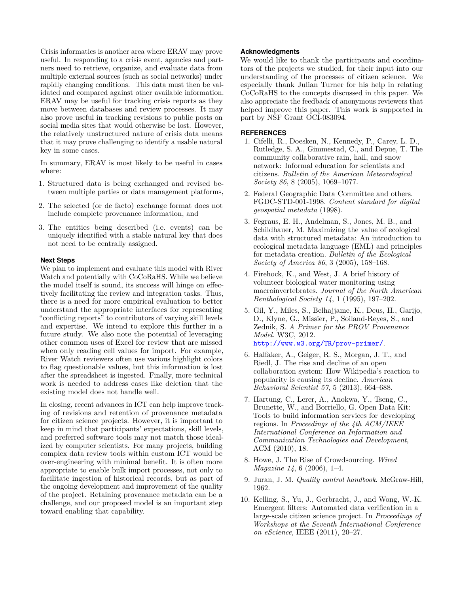Crisis informatics is another area where ERAV may prove useful. In responding to a crisis event, agencies and partners need to retrieve, organize, and evaluate data from multiple external sources (such as social networks) under rapidly changing conditions. This data must then be validated and compared against other available information. ERAV may be useful for tracking crisis reports as they move between databases and review processes. It may also prove useful in tracking revisions to public posts on social media sites that would otherwise be lost. However, the relatively unstructured nature of crisis data means that it may prove challenging to identify a usable natural key in some cases.

In summary, ERAV is most likely to be useful in cases where:

- 1. Structured data is being exchanged and revised between multiple parties or data management platforms,
- 2. The selected (or de facto) exchange format does not include complete provenance information, and
- 3. The entities being described (i.e. events) can be uniquely identified with a stable natural key that does not need to be centrally assigned.

#### **Next Steps**

We plan to implement and evaluate this model with River Watch and potentially with CoCoRaHS. While we believe the model itself is sound, its success will hinge on effectively facilitating the review and integration tasks. Thus, there is a need for more empirical evaluation to better understand the appropriate interfaces for representing "conflicting reports" to contributors of varying skill levels and expertise. We intend to explore this further in a future study. We also note the potential of leveraging other common uses of Excel for review that are missed when only reading cell values for import. For example, River Watch reviewers often use various highlight colors to flag questionable values, but this information is lost after the spreadsheet is ingested. Finally, more technical work is needed to address cases like deletion that the existing model does not handle well.

In closing, recent advances in ICT can help improve tracking of revisions and retention of provenance metadata for citizen science projects. However, it is important to keep in mind that participants' expectations, skill levels, and preferred software tools may not match those idealized by computer scientists. For many projects, building complex data review tools within custom ICT would be over-engineering with minimal benefit. It is often more appropriate to enable bulk import processes, not only to facilitate ingestion of historical records, but as part of the ongoing development and improvement of the quality of the project. Retaining provenance metadata can be a challenge, and our proposed model is an important step toward enabling that capability.

# **Acknowledgments**

We would like to thank the participants and coordinators of the projects we studied, for their input into our understanding of the processes of citizen science. We especially thank Julian Turner for his help in relating CoCoRaHS to the concepts discussed in this paper. We also appreciate the feedback of anonymous reviewers that helped improve this paper. This work is supported in part by NSF Grant OCI-083094.

#### <span id="page-10-2"></span>**REFERENCES**

- 1. Cifelli, R., Doesken, N., Kennedy, P., Carey, L. D., Rutledge, S. A., Gimmestad, C., and Depue, T. The community collaborative rain, hail, and snow network: Informal education for scientists and citizens. *Bulletin of the American Meteorological Society 86*, 8 (2005), 1069–1077.
- <span id="page-10-6"></span>2. Federal Geographic Data Committee and others. FGDC-STD-001-1998. *Content standard for digital geospatial metadata* (1998).
- <span id="page-10-5"></span>3. Fegraus, E. H., Andelman, S., Jones, M. B., and Schildhauer, M. Maximizing the value of ecological data with structured metadata: An introduction to ecological metadata language (EML) and principles for metadata creation. *Bulletin of the Ecological Society of America 86*, 3 (2005), 158–168.
- <span id="page-10-0"></span>4. Firehock, K., and West, J. A brief history of volunteer biological water monitoring using macroinvertebrates. *Journal of the North American Benthological Society 14*, 1 (1995), 197–202.
- <span id="page-10-7"></span>5. Gil, Y., Miles, S., Belhajjame, K., Deus, H., Garijo, D., Klyne, G., Missier, P., Soiland-Reyes, S., and Zednik, S. *A Primer for the PROV Provenance Model*. W3C, 2012. <http://www.w3.org/TR/prov-primer/>.
- <span id="page-10-8"></span>6. Halfaker, A., Geiger, R. S., Morgan, J. T., and Riedl, J. The rise and decline of an open collaboration system: How Wikipedia's reaction to popularity is causing its decline. *American Behavioral Scientist 57*, 5 (2013), 664–688.
- <span id="page-10-4"></span>7. Hartung, C., Lerer, A., Anokwa, Y., Tseng, C., Brunette, W., and Borriello, G. Open Data Kit: Tools to build information services for developing regions. In *Proceedings of the 4th ACM/IEEE International Conference on Information and Communication Technologies and Development*, ACM (2010), 18.
- <span id="page-10-1"></span>8. Howe, J. The Rise of Crowdsourcing. *Wired Magazine 14*, 6 (2006), 1–4.
- <span id="page-10-3"></span>9. Juran, J. M. *Quality control handbook*. McGraw-Hill, 1962.
- <span id="page-10-9"></span>10. Kelling, S., Yu, J., Gerbracht, J., and Wong, W.-K. Emergent filters: Automated data verification in a large-scale citizen science project. In *Proceedings of Workshops at the Seventh International Conference on eScience*, IEEE (2011), 20–27.